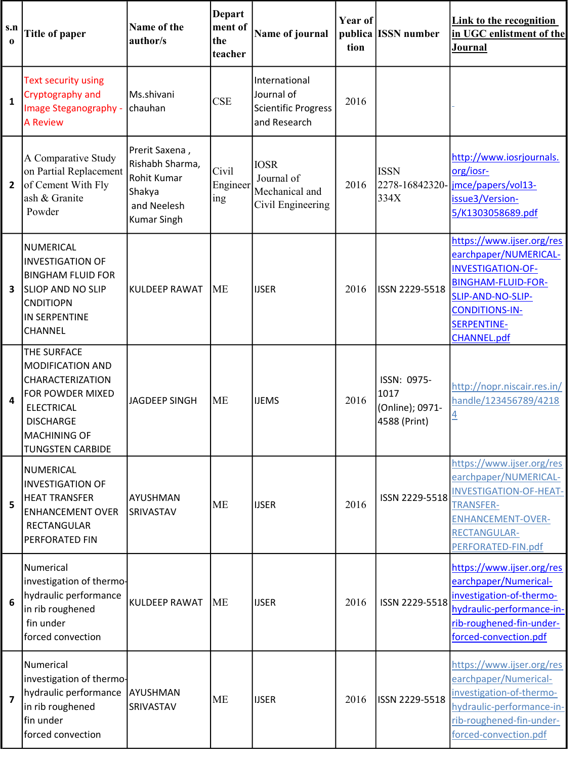| S.n<br>$\bf{0}$         | <b>Title of paper</b>                                                                                                                                                            | Name of the<br>author/s                                                                         | <b>Depart</b><br>ment of<br>the<br>teacher | Name of journal                                                    | Year of<br>tion | publica ISSN number                                    | <b>Link to the recognition</b><br>in UGC enlistment of the<br><b>Journal</b>                                                                                                                          |
|-------------------------|----------------------------------------------------------------------------------------------------------------------------------------------------------------------------------|-------------------------------------------------------------------------------------------------|--------------------------------------------|--------------------------------------------------------------------|-----------------|--------------------------------------------------------|-------------------------------------------------------------------------------------------------------------------------------------------------------------------------------------------------------|
| $\mathbf{1}$            | <b>Text security using</b><br>Cryptography and<br>Image Steganography -<br><b>A Review</b>                                                                                       | Ms.shivani<br>chauhan                                                                           | <b>CSE</b>                                 | International<br>Journal of<br>Scientific Progress<br>and Research | 2016            |                                                        |                                                                                                                                                                                                       |
| $\overline{2}$          | A Comparative Study<br>on Partial Replacement<br>of Cement With Fly<br>ash & Granite<br>Powder                                                                                   | Prerit Saxena,<br>Rishabh Sharma,<br>Rohit Kumar<br>Shakya<br>and Neelesh<br><b>Kumar Singh</b> | Civil<br>Engineer<br>ing                   | <b>IOSR</b><br>Journal of<br>Mechanical and<br>Civil Engineering   | 2016            | <b>ISSN</b><br>334X                                    | http://www.iosrjournals.<br>org/iosr-<br>2278-16842320- mce/papers/vol13-<br>issue3/Version-<br>5/K1303058689.pdf                                                                                     |
| $\overline{\mathbf{3}}$ | <b>NUMERICAL</b><br><b>INVESTIGATION OF</b><br><b>BINGHAM FLUID FOR</b><br><b>SLIOP AND NO SLIP</b><br><b>CNDITIOPN</b><br>IN SERPENTINE<br>CHANNEL                              | <b>KULDEEP RAWAT</b>                                                                            | <b>ME</b>                                  | <b>IJSER</b>                                                       | 2016            | ISSN 2229-5518                                         | https://www.ijser.org/res<br>earchpaper/NUMERICAL-<br><b>INVESTIGATION-OF-</b><br><b>BINGHAM-FLUID-FOR-</b><br>SLIP-AND-NO-SLIP-<br><b>CONDITIONS-IN-</b><br><b>SERPENTINE-</b><br><b>CHANNEL.pdf</b> |
| 4                       | THE SURFACE<br><b>MODIFICATION AND</b><br><b>CHARACTERIZATION</b><br>FOR POWDER MIXED<br><b>ELECTRICAL</b><br><b>DISCHARGE</b><br><b>MACHINING OF</b><br><b>TUNGSTEN CARBIDE</b> | <b>JAGDEEP SINGH</b>                                                                            | <b>ME</b>                                  | <b>IJEMS</b>                                                       | 2016            | ISSN: 0975-<br>1017<br>(Online); 0971-<br>4588 (Print) | http://nopr.niscair.res.in/<br>handle/123456789/4218<br>$\overline{4}$                                                                                                                                |
| 5                       | <b>NUMERICAL</b><br><b>INVESTIGATION OF</b><br><b>HEAT TRANSFER</b><br><b>ENHANCEMENT OVER</b><br>RECTANGULAR<br>PERFORATED FIN                                                  | AYUSHMAN<br><b>SRIVASTAV</b>                                                                    | <b>ME</b>                                  | <b>IJSER</b>                                                       | 2016            | ISSN 2229-5518                                         | https://www.ijser.org/res<br>earchpaper/NUMERICAL-<br><b>INVESTIGATION-OF-HEAT-</b><br><b>TRANSFER-</b><br><b>ENHANCEMENT-OVER-</b><br><b>RECTANGULAR-</b><br>PERFORATED-FIN.pdf                      |
| 6                       | Numerical<br>investigation of thermo-<br>hydraulic performance<br>in rib roughened<br>fin under<br>forced convection                                                             | <b>KULDEEP RAWAT</b>                                                                            | <b>ME</b>                                  | <b>IJSER</b>                                                       | 2016            | ISSN 2229-5518                                         | https://www.ijser.org/res<br>earchpaper/Numerical-<br>investigation-of-thermo-<br>hydraulic-performance-in-<br>rib-roughened-fin-under-<br>forced-convection.pdf                                      |
| $\overline{7}$          | Numerical<br>investigation of thermo-<br>hydraulic performance<br>in rib roughened<br>fin under<br>forced convection                                                             | AYUSHMAN<br>SRIVASTAV                                                                           | <b>ME</b>                                  | <b>IJSER</b>                                                       | 2016            | ISSN 2229-5518                                         | https://www.ijser.org/res<br>earchpaper/Numerical-<br>investigation-of-thermo-<br>hydraulic-performance-in-<br>rib-roughened-fin-under-<br>forced-convection.pdf                                      |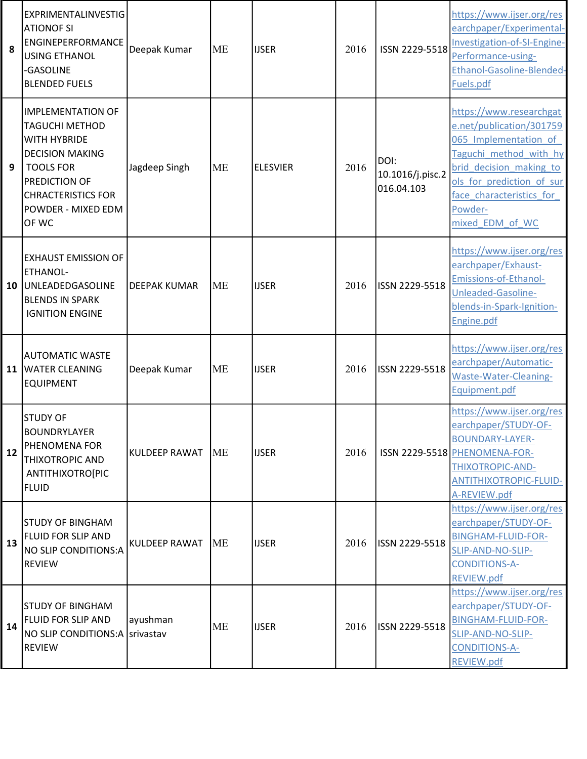| 8  | EXPRIMENTALINVESTIG<br><b>ATIONOF SI</b><br>ENGINEPERFORMANCE<br><b>USING ETHANOL</b><br>-GASOLINE<br><b>BLENDED FUELS</b>                                                                   | Deepak Kumar         | <b>ME</b> | <b>IJSER</b>    | 2016 | ISSN 2229-5518                         | https://www.ijser.org/res<br>earchpaper/Experimental-<br>Investigation-of-SI-Engine-<br>Performance-using-<br>Ethanol-Gasoline-Blended-<br>Fuels.pdf                                                                     |
|----|----------------------------------------------------------------------------------------------------------------------------------------------------------------------------------------------|----------------------|-----------|-----------------|------|----------------------------------------|--------------------------------------------------------------------------------------------------------------------------------------------------------------------------------------------------------------------------|
| 9  | <b>IMPLEMENTATION OF</b><br><b>TAGUCHI METHOD</b><br>WITH HYBRIDE<br><b>DECISION MAKING</b><br><b>TOOLS FOR</b><br>PREDICTION OF<br><b>CHRACTERISTICS FOR</b><br>POWDER - MIXED EDM<br>OF WC | Jagdeep Singh        | <b>ME</b> | <b>ELESVIER</b> | 2016 | DOI:<br>10.1016/j.pisc.2<br>016.04.103 | https://www.researchgat<br>e.net/publication/301759<br>065 Implementation of<br>Taguchi method with hy<br>brid decision making to<br>ols for prediction of sur<br>face characteristics for<br>Powder-<br>mixed EDM of WC |
| 10 | <b>EXHAUST EMISSION OF</b><br>ETHANOL-<br>UNLEADEDGASOLINE<br><b>BLENDS IN SPARK</b><br><b>IGNITION ENGINE</b>                                                                               | <b>DEEPAK KUMAR</b>  | <b>ME</b> | <b>IJSER</b>    | 2016 | ISSN 2229-5518                         | https://www.ijser.org/res<br>earchpaper/Exhaust-<br>Emissions-of-Ethanol-<br>Unleaded-Gasoline-<br>blends-in-Spark-Ignition-<br>Engine.pdf                                                                               |
| 11 | <b>AUTOMATIC WASTE</b><br><b>WATER CLEANING</b><br><b>EQUIPMENT</b>                                                                                                                          | Deepak Kumar         | <b>ME</b> | <b>IJSER</b>    | 2016 | ISSN 2229-5518                         | https://www.ijser.org/res<br>earchpaper/Automatic-<br>Waste-Water-Cleaning-<br>Equipment.pdf                                                                                                                             |
| 12 | <b>STUDY OF</b><br><b>BOUNDRYLAYER</b><br>PHENOMENA FOR<br><b>THIXOTROPIC AND</b><br>ANTITHIXOTRO[PIC<br><b>FLUID</b>                                                                        | <b>KULDEEP RAWAT</b> | <b>ME</b> | <b>IJSER</b>    | 2016 |                                        | https://www.ijser.org/res<br>earchpaper/STUDY-OF-<br><b>BOUNDARY-LAYER-</b><br>ISSN 2229-5518 PHENOMENA-FOR-<br>THIXOTROPIC-AND-<br><b>ANTITHIXOTROPIC-FLUID-</b><br>A-REVIEW.pdf                                        |
| 13 | <b>STUDY OF BINGHAM</b><br>FLUID FOR SLIP AND<br>NO SLIP CONDITIONS:A<br><b>REVIEW</b>                                                                                                       | KULDEEP RAWAT        | <b>ME</b> | <b>IJSER</b>    | 2016 | ISSN 2229-5518                         | https://www.ijser.org/res<br>earchpaper/STUDY-OF-<br><b>BINGHAM-FLUID-FOR-</b><br>SLIP-AND-NO-SLIP-<br><b>CONDITIONS-A-</b><br><b>REVIEW.pdf</b>                                                                         |
| 14 | <b>STUDY OF BINGHAM</b><br>FLUID FOR SLIP AND<br>NO SLIP CONDITIONS: A Srivastav<br><b>REVIEW</b>                                                                                            | ayushman             | <b>ME</b> | <b>IJSER</b>    | 2016 | ISSN 2229-5518                         | https://www.ijser.org/res<br>earchpaper/STUDY-OF-<br><b>BINGHAM-FLUID-FOR-</b><br>SLIP-AND-NO-SLIP-<br><b>CONDITIONS-A-</b><br><b>REVIEW.pdf</b>                                                                         |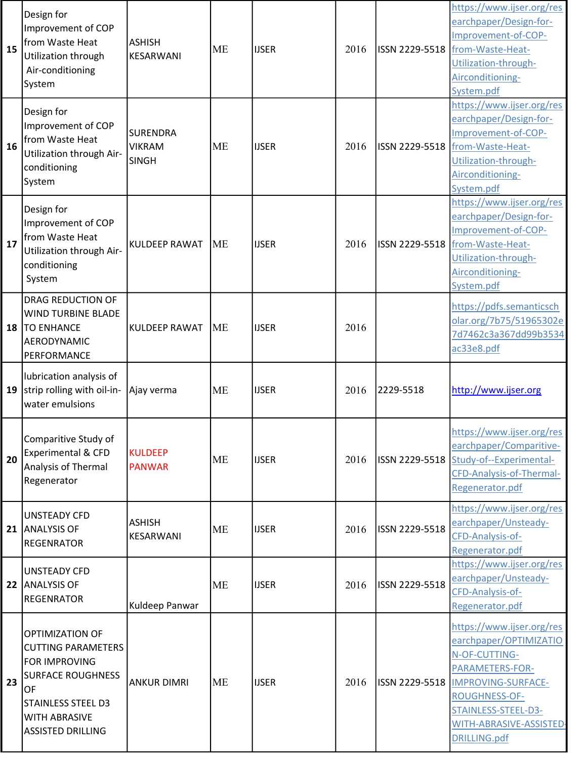| 15 | Design for<br>Improvement of COP<br>from Waste Heat<br>Utilization through<br>Air-conditioning<br>System                                                                         | <b>ASHISH</b><br>KESARWANI                       | <b>ME</b> | <b>IJSER</b> | 2016 | ISSN 2229-5518 | https://www.ijser.org/res<br>earchpaper/Design-for-<br>Improvement-of-COP-<br>from-Waste-Heat-<br>Utilization-through-<br>Airconditioning-<br>System.pdf                                                       |
|----|----------------------------------------------------------------------------------------------------------------------------------------------------------------------------------|--------------------------------------------------|-----------|--------------|------|----------------|----------------------------------------------------------------------------------------------------------------------------------------------------------------------------------------------------------------|
| 16 | Design for<br>Improvement of COP<br>from Waste Heat<br>Utilization through Air-<br>conditioning<br>System                                                                        | <b>SURENDRA</b><br><b>VIKRAM</b><br><b>SINGH</b> | <b>ME</b> | <b>IJSER</b> | 2016 | ISSN 2229-5518 | https://www.ijser.org/res<br>earchpaper/Design-for-<br>Improvement-of-COP-<br>from-Waste-Heat-<br>Utilization-through-<br>Airconditioning-<br>System.pdf                                                       |
| 17 | Design for<br>Improvement of COP<br>from Waste Heat<br>Utilization through Air-<br>conditioning<br>System                                                                        | <b>KULDEEP RAWAT</b>                             | <b>ME</b> | <b>IJSER</b> | 2016 | ISSN 2229-5518 | https://www.ijser.org/res<br>earchpaper/Design-for-<br>Improvement-of-COP-<br>from-Waste-Heat-<br>Utilization-through-<br>Airconditioning-<br>System.pdf                                                       |
| 18 | <b>DRAG REDUCTION OF</b><br><b>WIND TURBINE BLADE</b><br><b>TO ENHANCE</b><br>AERODYNAMIC<br>PERFORMANCE                                                                         | <b>KULDEEP RAWAT</b>                             | <b>ME</b> | <b>IJSER</b> | 2016 |                | https://pdfs.semanticsch<br>olar.org/7b75/51965302e<br>7d7462c3a367dd99b3534<br>ac33e8.pdf                                                                                                                     |
| 19 | lubrication analysis of<br>strip rolling with oil-in-<br>water emulsions                                                                                                         | Ajay verma                                       | <b>ME</b> | <b>IJSER</b> | 2016 | 2229-5518      | http://www.ijser.org                                                                                                                                                                                           |
| 20 | Comparitive Study of<br><b>Experimental &amp; CFD</b><br>Analysis of Thermal<br>Regenerator                                                                                      | <b>KULDEEP</b><br><b>PANWAR</b>                  | <b>ME</b> | <b>IJSER</b> | 2016 | ISSN 2229-5518 | https://www.ijser.org/res<br>earchpaper/Comparitive-<br>Study-of--Experimental-<br>CFD-Analysis-of-Thermal-<br>Regenerator.pdf                                                                                 |
| 21 | <b>UNSTEADY CFD</b><br><b>ANALYSIS OF</b><br><b>REGENRATOR</b>                                                                                                                   | <b>ASHISH</b><br>KESARWANI                       | <b>ME</b> | <b>IJSER</b> | 2016 | ISSN 2229-5518 | https://www.ijser.org/res<br>earchpaper/Unsteady-<br>CFD-Analysis-of-<br>Regenerator.pdf                                                                                                                       |
| 22 | <b>UNSTEADY CFD</b><br><b>ANALYSIS OF</b><br><b>REGENRATOR</b>                                                                                                                   | Kuldeep Panwar                                   | <b>ME</b> | <b>IJSER</b> | 2016 | ISSN 2229-5518 | https://www.ijser.org/res<br>earchpaper/Unsteady-<br>CFD-Analysis-of-<br>Regenerator.pdf                                                                                                                       |
| 23 | <b>OPTIMIZATION OF</b><br><b>CUTTING PARAMETERS</b><br>FOR IMPROVING<br><b>SURFACE ROUGHNESS</b><br>OF<br>STAINLESS STEEL D3<br><b>WITH ABRASIVE</b><br><b>ASSISTED DRILLING</b> | <b>ANKUR DIMRI</b>                               | <b>ME</b> | <b>IJSER</b> | 2016 | ISSN 2229-5518 | https://www.ijser.org/res<br>earchpaper/OPTIMIZATIO<br>N-OF-CUTTING-<br>PARAMETERS-FOR-<br>IMPROVING-SURFACE-<br><b>ROUGHNESS-OF-</b><br>STAINLESS-STEEL-D3-<br>WITH-ABRASIVE-ASSISTED-<br><b>DRILLING.pdf</b> |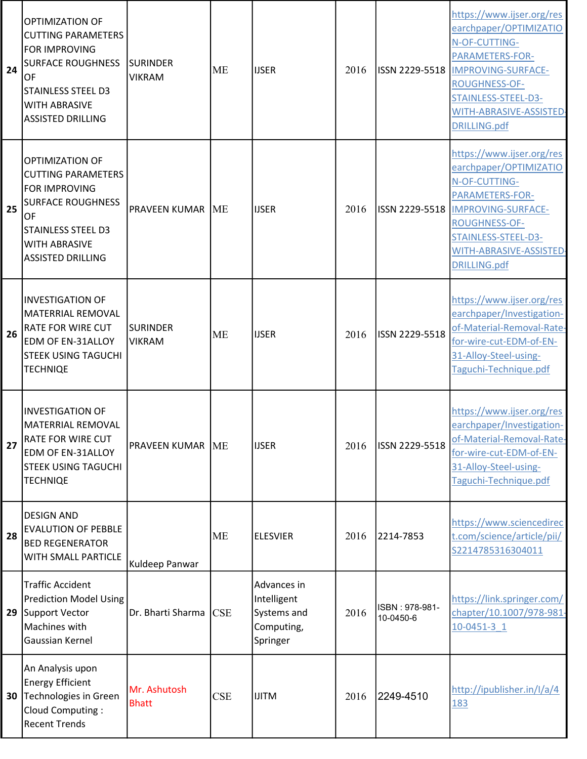| 24 | <b>OPTIMIZATION OF</b><br><b>CUTTING PARAMETERS</b><br><b>FOR IMPROVING</b><br><b>SURFACE ROUGHNESS</b><br>OF<br><b>STAINLESS STEEL D3</b><br><b>WITH ABRASIVE</b><br><b>ASSISTED DRILLING</b> | <b>SURINDER</b><br><b>VIKRAM</b> | ME         | <b>IJSER</b>                                                        | 2016 |                             | https://www.ijser.org/res<br>earchpaper/OPTIMIZATIO<br>N-OF-CUTTING-<br>PARAMETERS-FOR-<br>ISSN 2229-5518  IMPROVING-SURFACE-<br><b>ROUGHNESS-OF-</b><br>STAINLESS-STEEL-D3-<br>WITH-ABRASIVE-ASSISTED-<br><b>DRILLING.pdf</b> |
|----|------------------------------------------------------------------------------------------------------------------------------------------------------------------------------------------------|----------------------------------|------------|---------------------------------------------------------------------|------|-----------------------------|--------------------------------------------------------------------------------------------------------------------------------------------------------------------------------------------------------------------------------|
| 25 | OPTIMIZATION OF<br><b>CUTTING PARAMETERS</b><br><b>FOR IMPROVING</b><br><b>SURFACE ROUGHNESS</b><br>OF<br><b>STAINLESS STEEL D3</b><br><b>WITH ABRASIVE</b><br><b>ASSISTED DRILLING</b>        | <b>PRAVEEN KUMAR ME</b>          |            | <b>IJSER</b>                                                        | 2016 |                             | https://www.ijser.org/res<br>earchpaper/OPTIMIZATIO<br>N-OF-CUTTING-<br>PARAMETERS-FOR-<br>ISSN 2229-5518  IMPROVING-SURFACE-<br><b>ROUGHNESS-OF-</b><br>STAINLESS-STEEL-D3-<br>WITH-ABRASIVE-ASSISTED-<br>DRILLING.pdf        |
| 26 | <b>INVESTIGATION OF</b><br><b>MATERRIAL REMOVAL</b><br><b>RATE FOR WIRE CUT</b><br><b>EDM OF EN-31ALLOY</b><br><b>STEEK USING TAGUCHI</b><br><b>TECHNIQE</b>                                   | <b>SURINDER</b><br><b>VIKRAM</b> | <b>ME</b>  | <b>IJSER</b>                                                        | 2016 | ISSN 2229-5518              | https://www.ijser.org/res<br>earchpaper/Investigation-<br>of-Material-Removal-Rate-<br>for-wire-cut-EDM-of-EN-<br>31-Alloy-Steel-using-<br>Taguchi-Technique.pdf                                                               |
| 27 | <b>INVESTIGATION OF</b><br><b>MATERRIAL REMOVAL</b><br><b>RATE FOR WIRE CUT</b><br><b>EDM OF EN-31ALLOY</b><br><b>STEEK USING TAGUCHI</b><br><b>TECHNIQE</b>                                   | <b>PRAVEEN KUMAR ME</b>          |            | <b>IJSER</b>                                                        | 2016 | ISSN 2229-5518              | https://www.ijser.org/res<br>earchpaper/Investigation-<br>of-Material-Removal-Rate-<br>for-wire-cut-EDM-of-EN-<br>31-Alloy-Steel-using-<br>Taguchi-Technique.pdf                                                               |
| 28 | <b>DESIGN AND</b><br><b>EVALUTION OF PEBBLE</b><br><b>BED REGENERATOR</b><br>WITH SMALL PARTICLE                                                                                               | Kuldeep Panwar                   | <b>ME</b>  | <b>ELESVIER</b>                                                     | 2016 | 2214-7853                   | https://www.sciencedirec<br>t.com/science/article/pii/<br>S2214785316304011                                                                                                                                                    |
| 29 | <b>Traffic Accident</b><br><b>Prediction Model Using</b><br>Support Vector<br>Machines with<br><b>Gaussian Kernel</b>                                                                          | Dr. Bharti Sharma                | <b>CSE</b> | Advances in<br>Intelligent<br>Systems and<br>Computing,<br>Springer | 2016 | ISBN: 978-981-<br>10-0450-6 | https://link.springer.com/<br>chapter/10.1007/978-981-<br>10-0451-3 1                                                                                                                                                          |
| 30 | An Analysis upon<br><b>Energy Efficient</b><br>Technologies in Green<br>Cloud Computing:<br><b>Recent Trends</b>                                                                               | Mr. Ashutosh<br><b>Bhatt</b>     | <b>CSE</b> | <b>IJITM</b>                                                        | 2016 | 2249-4510                   | http://ipublisher.in/I/a/4<br>183                                                                                                                                                                                              |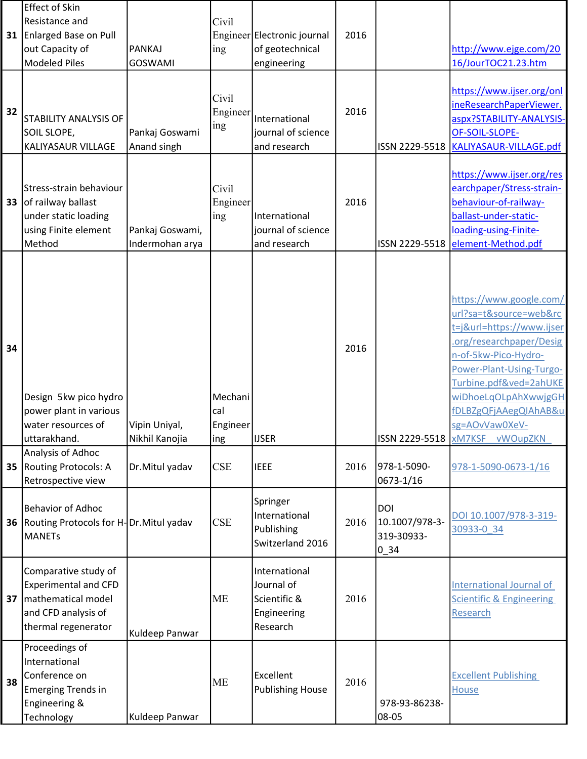|    | <b>Effect of Skin</b>                                    |                                    |            |                                    |      |                              |                                                      |
|----|----------------------------------------------------------|------------------------------------|------------|------------------------------------|------|------------------------------|------------------------------------------------------|
|    | Resistance and                                           |                                    | Civil      |                                    |      |                              |                                                      |
| 31 | <b>Enlarged Base on Pull</b>                             |                                    |            | Engineer Electronic journal        | 2016 |                              |                                                      |
|    | out Capacity of                                          | <b>PANKAJ</b>                      | ing        | of geotechnical                    |      |                              | http://www.ejge.com/20                               |
|    | <b>Modeled Piles</b>                                     | <b>GOSWAMI</b>                     |            | engineering                        |      |                              | 16/JourTOC21.23.htm                                  |
|    |                                                          |                                    |            |                                    |      |                              |                                                      |
|    |                                                          |                                    | Civil      |                                    |      |                              | https://www.ijser.org/onl<br>ineResearchPaperViewer. |
| 32 | <b>STABILITY ANALYSIS OF</b>                             |                                    | Engineer   | International                      | 2016 |                              | aspx?STABILITY-ANALYSIS-                             |
|    | SOIL SLOPE,                                              | Pankaj Goswami                     | ing        | journal of science                 |      |                              | OF-SOIL-SLOPE-                                       |
|    | KALIYASAUR VILLAGE                                       | Anand singh                        |            | and research                       |      | ISSN 2229-5518               | KALIYASAUR-VILLAGE.pdf                               |
|    |                                                          |                                    |            |                                    |      |                              |                                                      |
|    |                                                          |                                    |            |                                    |      |                              | https://www.ijser.org/res                            |
|    | Stress-strain behaviour                                  |                                    | Civil      |                                    |      |                              | earchpaper/Stress-strain-                            |
| 33 | of railway ballast                                       |                                    | Engineer   |                                    | 2016 |                              | behaviour-of-railway-                                |
|    | under static loading                                     |                                    | ing        | International                      |      |                              | ballast-under-static-                                |
|    | using Finite element<br>Method                           | Pankaj Goswami,<br>Indermohan arya |            | journal of science<br>and research |      | ISSN 2229-5518               | loading-using-Finite-<br>element-Method.pdf          |
|    |                                                          |                                    |            |                                    |      |                              |                                                      |
|    |                                                          |                                    |            |                                    |      |                              |                                                      |
|    |                                                          |                                    |            |                                    |      |                              |                                                      |
|    |                                                          |                                    |            |                                    |      |                              | https://www.google.com/                              |
|    |                                                          |                                    |            |                                    |      |                              | url?sa=t&source=web&rc                               |
|    |                                                          |                                    |            |                                    |      |                              | t=j&url=https://www.ijser                            |
| 34 |                                                          |                                    |            |                                    | 2016 |                              | .org/researchpaper/Desig                             |
|    |                                                          |                                    |            |                                    |      |                              | n-of-5kw-Pico-Hydro-                                 |
|    |                                                          |                                    |            |                                    |      |                              | Power-Plant-Using-Turgo-                             |
|    | Design 5kw pico hydro                                    |                                    | Mechani    |                                    |      |                              | Turbine.pdf&ved=2ahUKE<br>wiDhoeLqOLpAhXwwjgGH       |
|    | power plant in various                                   |                                    | cal        |                                    |      |                              | fDLBZgQFjAAegQlAhAB&u                                |
|    | water resources of                                       | Vipin Uniyal,                      | Engineer   |                                    |      |                              | sg=AOvVaw0XeV-                                       |
|    | uttarakhand.                                             | Nikhil Kanojia                     | ing        | <b>IJSER</b>                       |      | ISSN 2229-5518 XM7KSF        | vWOupZKN                                             |
|    | Analysis of Adhoc                                        |                                    |            |                                    |      |                              |                                                      |
| 35 | Routing Protocols: A                                     | Dr.Mitul yadav                     | CSE        | <b>IEEE</b>                        | 2016 | 978-1-5090-                  | 978-1-5090-0673-1/16                                 |
|    | Retrospective view                                       |                                    |            |                                    |      | 0673-1/16                    |                                                      |
|    |                                                          |                                    |            | Springer                           |      |                              |                                                      |
| 36 | Behavior of Adhoc                                        |                                    | <b>CSE</b> | International                      | 2016 | <b>DOI</b>                   | DOI 10.1007/978-3-319-                               |
|    | Routing Protocols for H-Dr. Mitul yadav<br><b>MANETs</b> |                                    |            | Publishing                         |      | 10.1007/978-3-<br>319-30933- | 30933-0 34                                           |
|    |                                                          |                                    |            | Switzerland 2016                   |      | $0_34$                       |                                                      |
|    |                                                          |                                    |            |                                    |      |                              |                                                      |
|    | Comparative study of<br><b>Experimental and CFD</b>      |                                    |            | International<br>Journal of        |      |                              | International Journal of                             |
| 37 | mathematical model                                       |                                    | <b>ME</b>  | Scientific &                       | 2016 |                              | <b>Scientific &amp; Engineering</b>                  |
|    | and CFD analysis of                                      |                                    |            | Engineering                        |      |                              | Research                                             |
|    | thermal regenerator                                      |                                    |            | Research                           |      |                              |                                                      |
|    |                                                          | Kuldeep Panwar                     |            |                                    |      |                              |                                                      |
|    | Proceedings of<br>International                          |                                    |            |                                    |      |                              |                                                      |
|    | Conference on                                            |                                    |            | Excellent                          |      |                              | <b>Excellent Publishing</b>                          |
| 38 | <b>Emerging Trends in</b>                                |                                    | <b>ME</b>  | <b>Publishing House</b>            | 2016 |                              | <b>House</b>                                         |
|    | Engineering &                                            |                                    |            |                                    |      | 978-93-86238-                |                                                      |
|    | Technology                                               | Kuldeep Panwar                     |            |                                    |      | 08-05                        |                                                      |